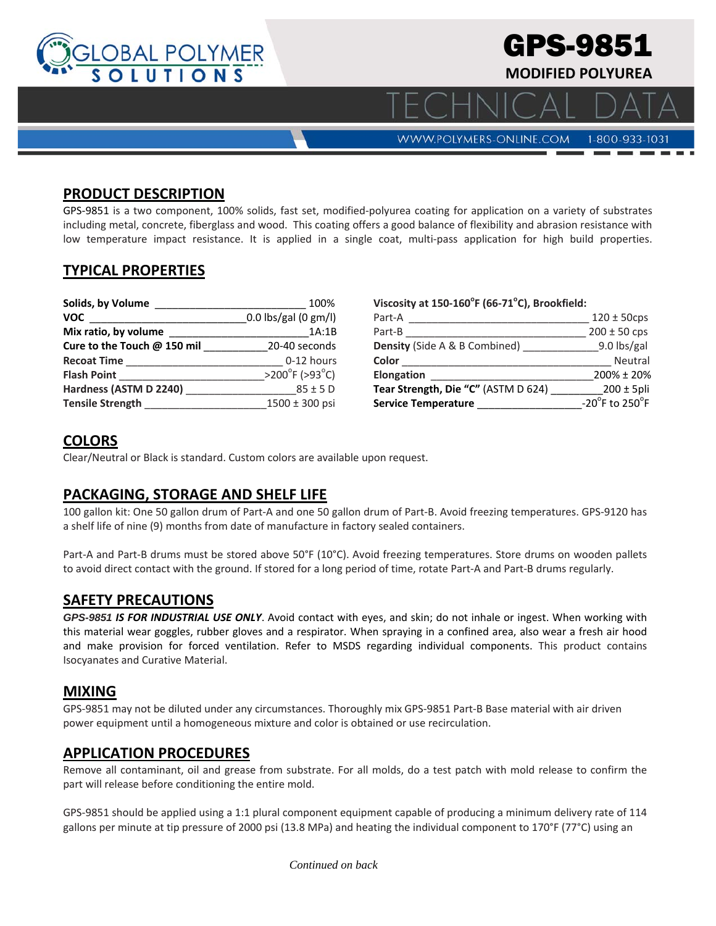

#### **PRODUCT DESCRIPTION**

GPS‐9851 is a two component, 100% solids, fast set, modified‐polyurea coating for application on a variety of substrates including metal, concrete, fiberglass and wood. This coating offers a good balance of flexibility and abrasion resistance with low temperature impact resistance. It is applied in a single coat, multi-pass application for high build properties.

### **TYPICAL PROPERTIES**

| Solids, by Volume           | 100%                                |
|-----------------------------|-------------------------------------|
| <b>VOC</b>                  | 0.0 lbs/gal (0 gm/l)                |
| Mix ratio, by volume        | 1A:1B                               |
| Cure to the Touch @ 150 mil | 20-40 seconds                       |
| <b>Recoat Time</b>          | 0-12 hours                          |
| <b>Flash Point</b>          | $>200^{\circ}$ F ( $>93^{\circ}$ C) |
| Hardness (ASTM D 2240)      | $85 \pm 5$ D                        |
| <b>Tensile Strength</b>     | 1500 ± 300 psi                      |

**Viscosity at 150‐160<sup>o</sup> F (66‐71o C), Brookfield:**

| Part-A                                   | $120 \pm 50$ cps |
|------------------------------------------|------------------|
| Part-B                                   | $200 \pm 50$ cps |
| <b>Density (Side A &amp; B Combined)</b> | $9.0$ lbs/gal    |
| Color                                    | Neutral          |
| <b>Elongation</b>                        | 200% ± 20%       |
| Tear Strength, Die "C" (ASTM D 624)      | $200 \pm 5$ pli  |
| <b>Service Temperature</b>               | -20°F to 250°F   |
|                                          |                  |

# **COLORS**

Clear/Neutral or Black is standard. Custom colors are available upon request.

# **PACKAGING, STORAGE AND SHELF LIFE**

100 gallon kit: One 50 gallon drum of Part‐A and one 50 gallon drum of Part‐B. Avoid freezing temperatures. GPS‐9120 has a shelf life of nine (9) months from date of manufacture in factory sealed containers.

Part‐A and Part‐B drums must be stored above 50°F (10°C). Avoid freezing temperatures. Store drums on wooden pallets to avoid direct contact with the ground. If stored for a long period of time, rotate Part‐A and Part‐B drums regularly.

## **SAFETY PRECAUTIONS**

*GPS-9851 IS FOR INDUSTRIAL USE ONLY*. Avoid contact with eyes, and skin; do not inhale or ingest. When working with this material wear goggles, rubber gloves and a respirator. When spraying in a confined area, also wear a fresh air hood and make provision for forced ventilation. Refer to MSDS regarding individual components. This product contains Isocyanates and Curative Material.

### **MIXING**

GPS‐9851 may not be diluted under any circumstances. Thoroughly mix GPS‐9851 Part‐B Base material with air driven power equipment until a homogeneous mixture and color is obtained or use recirculation.

### **APPLICATION PROCEDURES**

Remove all contaminant, oil and grease from substrate. For all molds, do a test patch with mold release to confirm the part will release before conditioning the entire mold.

GPS‐9851 should be applied using a 1:1 plural component equipment capable of producing a minimum delivery rate of 114 gallons per minute at tip pressure of 2000 psi (13.8 MPa) and heating the individual component to 170°F (77°C) using an